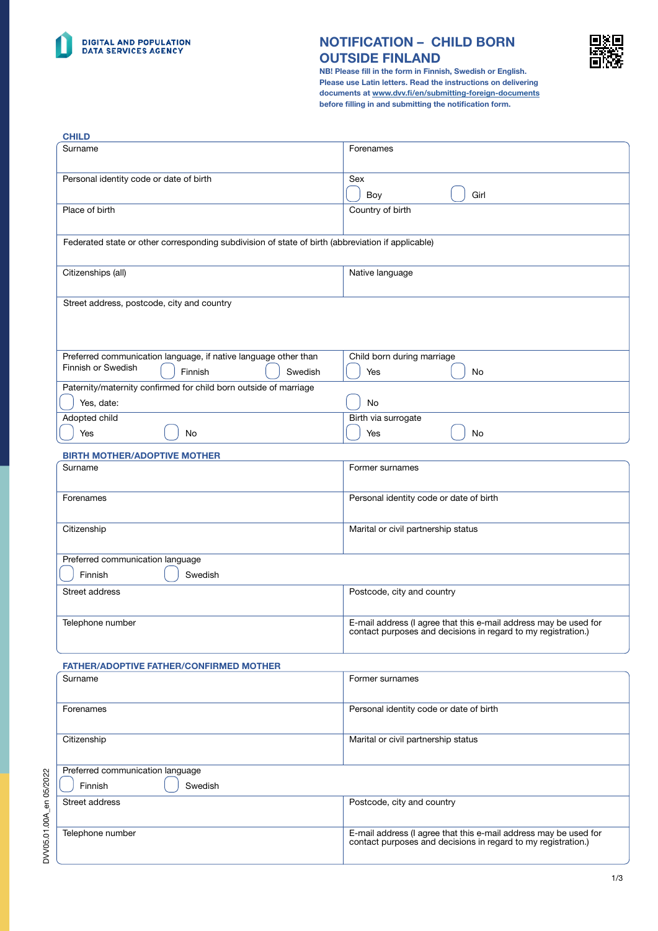

DVV05.01.00A\_en 05/2022

DVV05.01.00A\_en 05/2022

### NOTIFICATION – CHILD BORN OUTSIDE FINLAND



1/3

NB! Please fill in the form in Finnish, Swedish or English. Please use Latin letters. Read the instructions on delivering documents at [www.dvv.fi/en/submitting-foreign-documents](http://www.dvv.fi/en/submitting-foreign-documents) before filling in and submitting the notification form.

| Surname<br>Forenames<br>Personal identity code or date of birth<br>Sex<br>Boy<br>Girl<br>Place of birth<br>Country of birth<br>Federated state or other corresponding subdivision of state of birth (abbreviation if applicable)<br>Citizenships (all)<br>Native language<br>Street address, postcode, city and country<br>Preferred communication language, if native language other than<br>Child born during marriage<br>Finnish or Swedish<br>Finnish<br>Swedish<br>Yes<br>No<br>Paternity/maternity confirmed for child born outside of marriage<br>Yes, date:<br>No<br><b>Adopted child</b><br>Birth via surrogate<br>Yes<br>Yes<br>No<br>No<br><b>BIRTH MOTHER/ADOPTIVE MOTHER</b><br>Surname<br>Former surnames<br>Personal identity code or date of birth<br>Forenames<br>Citizenship<br>Marital or civil partnership status<br>Preferred communication language<br>Finnish<br>Swedish<br>Postcode, city and country<br>Street address<br>E-mail address (I agree that this e-mail address may be used for<br>Telephone number<br>contact purposes and decisions in regard to my registration.)<br><b>FATHER/ADOPTIVE FATHER/CONFIRMED MOTHER</b><br>Surname<br>Former surnames<br>Personal identity code or date of birth<br>Forenames<br>Marital or civil partnership status<br>Citizenship<br>Preferred communication language<br>Finnish<br>Swedish<br>Street address<br>Postcode, city and country<br>E-mail address (I agree that this e-mail address may be used for<br>Telephone number<br>contact purposes and decisions in regard to my registration.) | <b>CHILD</b> |  |
|---------------------------------------------------------------------------------------------------------------------------------------------------------------------------------------------------------------------------------------------------------------------------------------------------------------------------------------------------------------------------------------------------------------------------------------------------------------------------------------------------------------------------------------------------------------------------------------------------------------------------------------------------------------------------------------------------------------------------------------------------------------------------------------------------------------------------------------------------------------------------------------------------------------------------------------------------------------------------------------------------------------------------------------------------------------------------------------------------------------------------------------------------------------------------------------------------------------------------------------------------------------------------------------------------------------------------------------------------------------------------------------------------------------------------------------------------------------------------------------------------------------------------------------------------------------------------|--------------|--|
|                                                                                                                                                                                                                                                                                                                                                                                                                                                                                                                                                                                                                                                                                                                                                                                                                                                                                                                                                                                                                                                                                                                                                                                                                                                                                                                                                                                                                                                                                                                                                                           |              |  |
|                                                                                                                                                                                                                                                                                                                                                                                                                                                                                                                                                                                                                                                                                                                                                                                                                                                                                                                                                                                                                                                                                                                                                                                                                                                                                                                                                                                                                                                                                                                                                                           |              |  |
|                                                                                                                                                                                                                                                                                                                                                                                                                                                                                                                                                                                                                                                                                                                                                                                                                                                                                                                                                                                                                                                                                                                                                                                                                                                                                                                                                                                                                                                                                                                                                                           |              |  |
|                                                                                                                                                                                                                                                                                                                                                                                                                                                                                                                                                                                                                                                                                                                                                                                                                                                                                                                                                                                                                                                                                                                                                                                                                                                                                                                                                                                                                                                                                                                                                                           |              |  |
|                                                                                                                                                                                                                                                                                                                                                                                                                                                                                                                                                                                                                                                                                                                                                                                                                                                                                                                                                                                                                                                                                                                                                                                                                                                                                                                                                                                                                                                                                                                                                                           |              |  |
|                                                                                                                                                                                                                                                                                                                                                                                                                                                                                                                                                                                                                                                                                                                                                                                                                                                                                                                                                                                                                                                                                                                                                                                                                                                                                                                                                                                                                                                                                                                                                                           |              |  |
|                                                                                                                                                                                                                                                                                                                                                                                                                                                                                                                                                                                                                                                                                                                                                                                                                                                                                                                                                                                                                                                                                                                                                                                                                                                                                                                                                                                                                                                                                                                                                                           |              |  |
|                                                                                                                                                                                                                                                                                                                                                                                                                                                                                                                                                                                                                                                                                                                                                                                                                                                                                                                                                                                                                                                                                                                                                                                                                                                                                                                                                                                                                                                                                                                                                                           |              |  |
|                                                                                                                                                                                                                                                                                                                                                                                                                                                                                                                                                                                                                                                                                                                                                                                                                                                                                                                                                                                                                                                                                                                                                                                                                                                                                                                                                                                                                                                                                                                                                                           |              |  |
|                                                                                                                                                                                                                                                                                                                                                                                                                                                                                                                                                                                                                                                                                                                                                                                                                                                                                                                                                                                                                                                                                                                                                                                                                                                                                                                                                                                                                                                                                                                                                                           |              |  |
|                                                                                                                                                                                                                                                                                                                                                                                                                                                                                                                                                                                                                                                                                                                                                                                                                                                                                                                                                                                                                                                                                                                                                                                                                                                                                                                                                                                                                                                                                                                                                                           |              |  |
|                                                                                                                                                                                                                                                                                                                                                                                                                                                                                                                                                                                                                                                                                                                                                                                                                                                                                                                                                                                                                                                                                                                                                                                                                                                                                                                                                                                                                                                                                                                                                                           |              |  |
|                                                                                                                                                                                                                                                                                                                                                                                                                                                                                                                                                                                                                                                                                                                                                                                                                                                                                                                                                                                                                                                                                                                                                                                                                                                                                                                                                                                                                                                                                                                                                                           |              |  |
|                                                                                                                                                                                                                                                                                                                                                                                                                                                                                                                                                                                                                                                                                                                                                                                                                                                                                                                                                                                                                                                                                                                                                                                                                                                                                                                                                                                                                                                                                                                                                                           |              |  |
|                                                                                                                                                                                                                                                                                                                                                                                                                                                                                                                                                                                                                                                                                                                                                                                                                                                                                                                                                                                                                                                                                                                                                                                                                                                                                                                                                                                                                                                                                                                                                                           |              |  |
|                                                                                                                                                                                                                                                                                                                                                                                                                                                                                                                                                                                                                                                                                                                                                                                                                                                                                                                                                                                                                                                                                                                                                                                                                                                                                                                                                                                                                                                                                                                                                                           |              |  |
|                                                                                                                                                                                                                                                                                                                                                                                                                                                                                                                                                                                                                                                                                                                                                                                                                                                                                                                                                                                                                                                                                                                                                                                                                                                                                                                                                                                                                                                                                                                                                                           |              |  |
|                                                                                                                                                                                                                                                                                                                                                                                                                                                                                                                                                                                                                                                                                                                                                                                                                                                                                                                                                                                                                                                                                                                                                                                                                                                                                                                                                                                                                                                                                                                                                                           |              |  |
|                                                                                                                                                                                                                                                                                                                                                                                                                                                                                                                                                                                                                                                                                                                                                                                                                                                                                                                                                                                                                                                                                                                                                                                                                                                                                                                                                                                                                                                                                                                                                                           |              |  |
|                                                                                                                                                                                                                                                                                                                                                                                                                                                                                                                                                                                                                                                                                                                                                                                                                                                                                                                                                                                                                                                                                                                                                                                                                                                                                                                                                                                                                                                                                                                                                                           |              |  |
|                                                                                                                                                                                                                                                                                                                                                                                                                                                                                                                                                                                                                                                                                                                                                                                                                                                                                                                                                                                                                                                                                                                                                                                                                                                                                                                                                                                                                                                                                                                                                                           |              |  |
|                                                                                                                                                                                                                                                                                                                                                                                                                                                                                                                                                                                                                                                                                                                                                                                                                                                                                                                                                                                                                                                                                                                                                                                                                                                                                                                                                                                                                                                                                                                                                                           |              |  |
|                                                                                                                                                                                                                                                                                                                                                                                                                                                                                                                                                                                                                                                                                                                                                                                                                                                                                                                                                                                                                                                                                                                                                                                                                                                                                                                                                                                                                                                                                                                                                                           |              |  |
|                                                                                                                                                                                                                                                                                                                                                                                                                                                                                                                                                                                                                                                                                                                                                                                                                                                                                                                                                                                                                                                                                                                                                                                                                                                                                                                                                                                                                                                                                                                                                                           |              |  |
|                                                                                                                                                                                                                                                                                                                                                                                                                                                                                                                                                                                                                                                                                                                                                                                                                                                                                                                                                                                                                                                                                                                                                                                                                                                                                                                                                                                                                                                                                                                                                                           |              |  |
|                                                                                                                                                                                                                                                                                                                                                                                                                                                                                                                                                                                                                                                                                                                                                                                                                                                                                                                                                                                                                                                                                                                                                                                                                                                                                                                                                                                                                                                                                                                                                                           |              |  |
|                                                                                                                                                                                                                                                                                                                                                                                                                                                                                                                                                                                                                                                                                                                                                                                                                                                                                                                                                                                                                                                                                                                                                                                                                                                                                                                                                                                                                                                                                                                                                                           |              |  |
|                                                                                                                                                                                                                                                                                                                                                                                                                                                                                                                                                                                                                                                                                                                                                                                                                                                                                                                                                                                                                                                                                                                                                                                                                                                                                                                                                                                                                                                                                                                                                                           |              |  |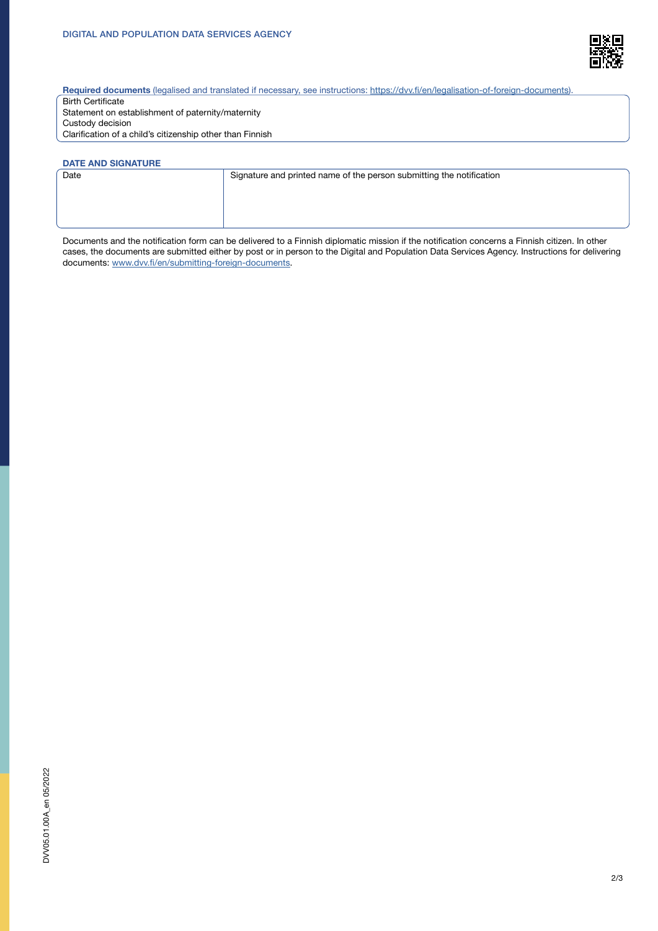

Required documents (legalised and translated if necessary, see instructions: [https://dvv.fi/en/legalisation-of-foreign-documents\)](https://dvv.fi/en/legalisation-of-foreign-documents)

Birth Certificate Statement on establishment of paternity/maternity Custody decision Clarification of a child's citizenship other than Finnish

# DATE AND SIGNATURE<br>Date

Signature and printed name of the person submitting the notification

Documents and the notification form can be delivered to a Finnish diplomatic mission if the notification concerns a Finnish citizen. In other cases, the documents are submitted either by post or in person to the Digital and Population Data Services Agency. Instructions for delivering documents: [www.dvv.fi/en/submitting-foreign-documents.](http://www.dvv.fi/en/submitting-foreign-documents)